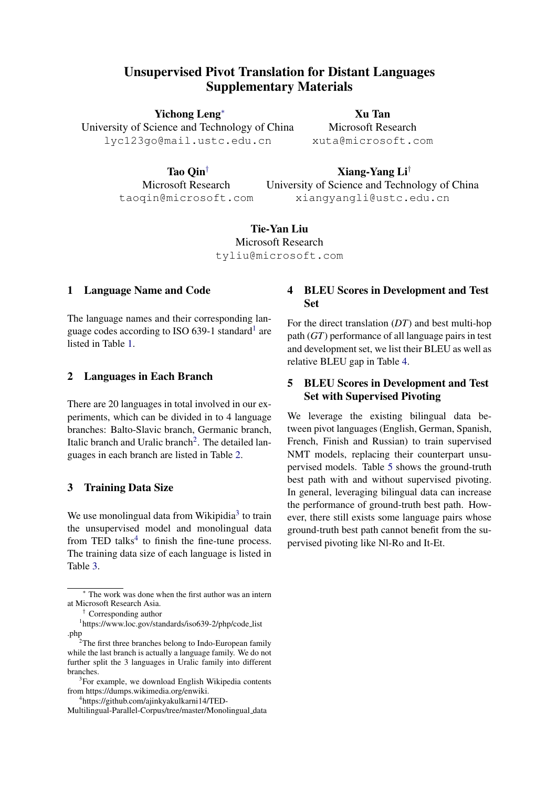# Unsupervised Pivot Translation for Distant Languages Supplementary Materials

Yichong Leng<sup>∗</sup>

University of Science and Technology of China lyc123go@mail.ustc.edu.cn

Xu Tan Microsoft Research xuta@microsoft.com

Tao Qin† Microsoft Research

taoqin@microsoft.com

Xiang-Yang Li† University of Science and Technology of China xiangyangli@ustc.edu.cn

Tie-Yan Liu Microsoft Research tyliu@microsoft.com

#### 1 Language Name and Code

The language names and their corresponding lan-guage codes according to ISO 639-[1](#page-0-0) standard<sup>1</sup> are listed in Table [1.](#page-1-0)

#### 2 Languages in Each Branch

There are 20 languages in total involved in our experiments, which can be divided in to 4 language branches: Balto-Slavic branch, Germanic branch, Italic branch and Uralic branch<sup>[2](#page-0-1)</sup>. The detailed languages in each branch are listed in Table [2.](#page-1-1)

#### 3 Training Data Size

We use monolingual data from Wikipidia<sup>[3](#page-0-2)</sup> to train the unsupervised model and monolingual data from TED talks $4$  to finish the fine-tune process. The training data size of each language is listed in Table [3.](#page-1-2)

### 4 BLEU Scores in Development and Test Set

For the direct translation (*DT*) and best multi-hop path (*GT*) performance of all language pairs in test and development set, we list their BLEU as well as relative BLEU gap in Table [4.](#page-1-3)

## 5 BLEU Scores in Development and Test Set with Supervised Pivoting

We leverage the existing bilingual data between pivot languages (English, German, Spanish, French, Finish and Russian) to train supervised NMT models, replacing their counterpart unsupervised models. Table [5](#page-2-0) shows the ground-truth best path with and without supervised pivoting. In general, leveraging bilingual data can increase the performance of ground-truth best path. However, there still exists some language pairs whose ground-truth best path cannot benefit from the supervised pivoting like Nl-Ro and It-Et.

The work was done when the first author was an intern at Microsoft Research Asia.

<span id="page-0-0"></span><sup>†</sup> Corresponding author

<sup>&</sup>lt;sup>1</sup>https://www.loc.gov/standards/iso639-2/php/code\_list .php

<span id="page-0-1"></span> $2$ The first three branches belong to Indo-European family while the last branch is actually a language family. We do not further split the 3 languages in Uralic family into different branches.

<span id="page-0-2"></span><sup>&</sup>lt;sup>3</sup>For example, we download English Wikipedia contents from https://dumps.wikimedia.org/enwiki.

<span id="page-0-3"></span><sup>4</sup> https://github.com/ajinkyakulkarni14/TED-

Multilingual-Parallel-Corpus/tree/master/Monolingual\_data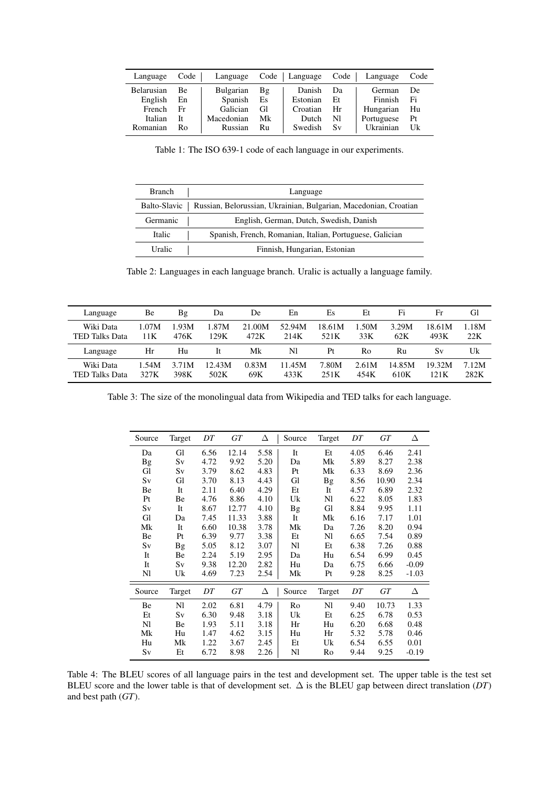<span id="page-1-0"></span>

| Language   | Code      | Language   |           | Code   Language | Code | Language      | Code |
|------------|-----------|------------|-----------|-----------------|------|---------------|------|
| Belarusian | <b>Be</b> | Bulgarian  | Βg        | Danish          | Dа   | <b>German</b> | De   |
| English    | En        | Spanish    | <b>Es</b> | Estonian        | Et   | Finnish       | Fi   |
| French     | Fr        | Galician   | GI        | Croatian        | Hr   | Hungarian     | Hu   |
| Italian    | Īt        | Macedonian | Mk.       | Dutch           | NI   | Portuguese    | Pt   |
| Romanian   | Ro        | Russian    | Ru        | Swedish         | Sv   | Ukrainian     | Uk   |

Table 1: The ISO 639-1 code of each language in our experiments.

<span id="page-1-1"></span>

| <b>Branch</b> | Language                                                                        |
|---------------|---------------------------------------------------------------------------------|
|               | Balto-Slavic   Russian, Belorussian, Ukrainian, Bulgarian, Macedonian, Croatian |
| Germanic      | English, German, Dutch, Swedish, Danish                                         |
| <b>Italic</b> | Spanish, French, Romanian, Italian, Portuguese, Galician                        |
| Uralic        | Finnish, Hungarian, Estonian                                                    |

Table 2: Languages in each language branch. Uralic is actually a language family.

<span id="page-1-2"></span>

| Language              | Вe    | Βg    | Da     | De.    | En     | Es     | Et    | Fi     | Fr     | Gl    |
|-----------------------|-------|-------|--------|--------|--------|--------|-------|--------|--------|-------|
| Wiki Data             | 1.07M | 1.93M | 1.87M  | 21.00M | 52.94M | 18.61M | .50M  | 3.29M  | 18.61M | 1.18M |
| TED Talks Data        | 11 K  | 476K  | 29K    | 472K   | 214K   | 521K   | 33K   | 62K    | 493K   | 22K   |
| Language              | Hr    | Hu    | It.    | Mk     | Nl     | Pt     | Ro    | Ru     | Sv     | Uk    |
| Wiki Data             | 1.54M | 3.71M | 12.43M | 0.83M  | 11.45M | 7.80M  | 2.61M | 14.85M | 19.32M | 7.12M |
| <b>TED Talks Data</b> | 327K  | 398K  | 502K   | 69K    | 433K   | 251K   | 454K  | 610K   | 121K   | 282K  |

<span id="page-1-3"></span>Table 3: The size of the monolingual data from Wikipedia and TED talks for each language.

| Source | Target | DT   | GT    | Δ    | Source | Target    | DT   | GT    | Δ       |
|--------|--------|------|-------|------|--------|-----------|------|-------|---------|
| Da     | Gl     | 6.56 | 12.14 | 5.58 | It     | Et        | 4.05 | 6.46  | 2.41    |
| Bg     | Sv     | 4.72 | 9.92  | 5.20 | Da     | Mk        | 5.89 | 8.27  | 2.38    |
| Gl     | Sv     | 3.79 | 8.62  | 4.83 | Pt     | Mk        | 6.33 | 8.69  | 2.36    |
| Sv     | Gl     | 3.70 | 8.13  | 4.43 | Gl     | <b>Bg</b> | 8.56 | 10.90 | 2.34    |
| Be     | It     | 2.11 | 6.40  | 4.29 | Et     | It        | 4.57 | 6.89  | 2.32    |
| Pt     | Вe     | 4.76 | 8.86  | 4.10 | Uk     | Nl        | 6.22 | 8.05  | 1.83    |
| Sv     | It     | 8.67 | 12.77 | 4.10 | Bg     | Gl        | 8.84 | 9.95  | 1.11    |
| Gl     | Da     | 7.45 | 11.33 | 3.88 | It     | Mk        | 6.16 | 7.17  | 1.01    |
| Mk     | It     | 6.60 | 10.38 | 3.78 | Mk     | Da        | 7.26 | 8.20  | 0.94    |
| Be     | Pt     | 6.39 | 9.77  | 3.38 | Et     | Nl        | 6.65 | 7.54  | 0.89    |
| Sv     | Bg     | 5.05 | 8.12  | 3.07 | Nl     | Et        | 6.38 | 7.26  | 0.88    |
| It     | Вe     | 2.24 | 5.19  | 2.95 | Da     | Hu        | 6.54 | 6.99  | 0.45    |
| It     | Sv     | 9.38 | 12.20 | 2.82 | Hu     | Da        | 6.75 | 6.66  | $-0.09$ |
| Nl     | Uk     | 4.69 | 7.23  | 2.54 | Mk     | Pt        | 9.28 | 8.25  | $-1.03$ |
| Source | Target | DT   | GT    | Δ    | Source | Target    | DT   | GT    | Δ       |
| Be     | Nl     | 2.02 | 6.81  | 4.79 | Ro     | Nl        | 9.40 | 10.73 | 1.33    |
| Et     | Sv     | 6.30 | 9.48  | 3.18 | Uk     | Et        | 6.25 | 6.78  | 0.53    |
| Nl     | Вe     | 1.93 | 5.11  | 3.18 | Hr     | Hu        | 6.20 | 6.68  | 0.48    |
| Mk     | Hu     | 1.47 | 4.62  | 3.15 | Hu     | Hr        | 5.32 | 5.78  | 0.46    |
| Hu     | Mk     | 1.22 | 3.67  | 2.45 | Et     | Uk        | 6.54 | 6.55  | 0.01    |
| Sv     | Et     | 6.72 | 8.98  | 2.26 | Nl     | Ro        | 9.44 | 9.25  | $-0.19$ |

Table 4: The BLEU scores of all language pairs in the test and development set. The upper table is the test set BLEU score and the lower table is that of development set. ∆ is the BLEU gap between direct translation (*DT*) and best path (*GT*).